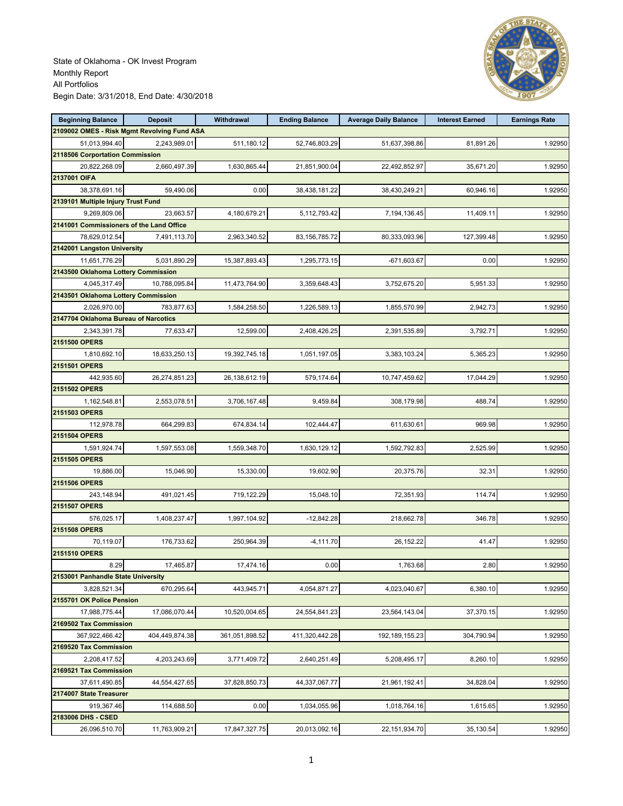

| <b>Beginning Balance</b>                    | <b>Deposit</b> | Withdrawal     | <b>Ending Balance</b> | <b>Average Daily Balance</b> | <b>Interest Earned</b> | <b>Earnings Rate</b> |
|---------------------------------------------|----------------|----------------|-----------------------|------------------------------|------------------------|----------------------|
| 2109002 OMES - Risk Mgmt Revolving Fund ASA |                |                |                       |                              |                        |                      |
| 51,013,994.40                               | 2,243,989.01   | 511,180.12     | 52,746,803.29         | 51,637,398.86                | 81,891.26              | 1.92950              |
| 2118506 Corportation Commission             |                |                |                       |                              |                        |                      |
| 20,822,268.09                               | 2,660,497.39   | 1,630,865.44   | 21,851,900.04         | 22,492,852.97                | 35,671.20              | 1.92950              |
| 2137001 OIFA                                |                |                |                       |                              |                        |                      |
| 38,378,691.16                               | 59,490.06      | 0.00           | 38,438,181.22         | 38,430,249.21                | 60,946.16              | 1.92950              |
| 2139101 Multiple Injury Trust Fund          |                |                |                       |                              |                        |                      |
| 9,269,809.06                                | 23,663.57      | 4,180,679.21   | 5,112,793.42          | 7,194,136.45                 | 11,409.11              | 1.92950              |
| 2141001 Commissioners of the Land Office    |                |                |                       |                              |                        |                      |
| 78,629,012.54                               | 7,491,113.70   | 2,963,340.52   | 83,156,785.72         | 80,333,093.96                | 127,399.48             | 1.92950              |
| 2142001 Langston University                 |                |                |                       |                              |                        |                      |
| 11,651,776.29                               | 5,031,890.29   | 15,387,893.43  | 1,295,773.15          | $-671,603.67$                | 0.00                   | 1.92950              |
| 2143500 Oklahoma Lottery Commission         |                |                |                       |                              |                        |                      |
| 4,045,317.49                                | 10,788,095.84  | 11,473,764.90  | 3,359,648.43          | 3,752,675.20                 | 5,951.33               | 1.92950              |
| 2143501 Oklahoma Lottery Commission         |                |                |                       |                              |                        |                      |
| 2,026,970.00                                | 783,877.63     | 1,584,258.50   | 1,226,589.13          | 1,855,570.99                 | 2,942.73               | 1.92950              |
| 2147704 Oklahoma Bureau of Narcotics        |                |                |                       |                              |                        |                      |
| 2,343,391.78                                | 77,633.47      | 12,599.00      | 2,408,426.25          | 2,391,535.89                 | 3,792.71               | 1.92950              |
| 2151500 OPERS                               |                |                |                       |                              |                        |                      |
| 1,810,692.10                                | 18,633,250.13  | 19,392,745.18  | 1,051,197.05          | 3,383,103.24                 | 5,365.23               | 1.92950              |
| 2151501 OPERS                               |                |                |                       |                              |                        |                      |
| 442,935.60                                  | 26,274,851.23  | 26,138,612.19  | 579,174.64            | 10,747,459.62                | 17,044.29              | 1.92950              |
| 2151502 OPERS                               |                |                |                       |                              |                        |                      |
| 1,162,548.81                                | 2,553,078.51   | 3,706,167.48   | 9,459.84              | 308,179.98                   | 488.74                 | 1.92950              |
| 2151503 OPERS                               |                |                |                       |                              |                        |                      |
| 112,978.78                                  | 664,299.83     | 674,834.14     | 102,444.47            | 611,630.61                   | 969.98                 | 1.92950              |
| 2151504 OPERS                               |                |                |                       |                              |                        |                      |
| 1,591,924.74                                | 1,597,553.08   | 1,559,348.70   | 1,630,129.12          | 1,592,792.83                 | 2,525.99               | 1.92950              |
| 2151505 OPERS                               |                |                |                       |                              |                        |                      |
| 19,886.00                                   | 15,046.90      | 15,330.00      | 19,602.90             | 20,375.76                    | 32.31                  | 1.92950              |
| 2151506 OPERS                               |                |                |                       |                              |                        |                      |
| 243,148.94                                  | 491,021.45     | 719,122.29     | 15,048.10             | 72,351.93                    | 114.74                 | 1.92950              |
| 2151507 OPERS                               |                |                |                       |                              |                        |                      |
| 576,025.17                                  | 1,408,237.47   | 1,997,104.92   | $-12,842.28$          | 218,662.78                   | 346.78                 | 1.92950              |
| 2151508 OPERS                               |                |                |                       |                              |                        |                      |
| 70,119.07                                   | 176,733.62     | 250,964.39     | $-4, 111.70$          | 26,152.22                    | 41.47                  | 1.92950              |
| 2151510 OPERS                               |                |                |                       |                              |                        |                      |
| 8.29                                        | 17,465.87      | 17,474.16      | 0.00                  | 1,763.68                     | 2.80                   | 1.92950              |
| 2153001 Panhandle State University          |                |                |                       |                              |                        |                      |
| 3,828,521.34                                | 670,295.64     | 443,945.71     | 4,054,871.27          | 4,023,040.67                 | 6,380.10               | 1.92950              |
| 2155701 OK Police Pension                   |                |                |                       |                              |                        |                      |
| 17,988,775.44                               | 17,086,070.44  | 10,520,004.65  | 24,554,841.23         | 23,564,143.04                | 37,370.15              | 1.92950              |
| 2169502 Tax Commission                      |                |                |                       |                              |                        |                      |
| 367,922,466.42                              | 404,449,874.38 | 361,051,898.52 | 411,320,442.28        | 192, 189, 155. 23            | 304,790.94             | 1.92950              |
| 2169520 Tax Commission                      |                |                |                       |                              |                        |                      |
| 2,208,417.52                                | 4,203,243.69   | 3,771,409.72   | 2,640,251.49          | 5,208,495.17                 | 8,260.10               | 1.92950              |
| 2169521 Tax Commission                      |                |                |                       |                              |                        |                      |
| 37,611,490.85                               | 44,554,427.65  | 37,828,850.73  | 44,337,067.77         | 21,961,192.41                | 34,828.04              | 1.92950              |
| 2174007 State Treasurer                     |                |                |                       |                              |                        |                      |
| 919,367.46                                  | 114,688.50     | 0.00           | 1,034,055.96          | 1,018,764.16                 | 1,615.65               | 1.92950              |
| 2183006 DHS - CSED                          |                |                |                       |                              |                        |                      |
| 26,096,510.70                               | 11,763,909.21  | 17,847,327.75  | 20,013,092.16         | 22,151,934.70                | 35,130.54              | 1.92950              |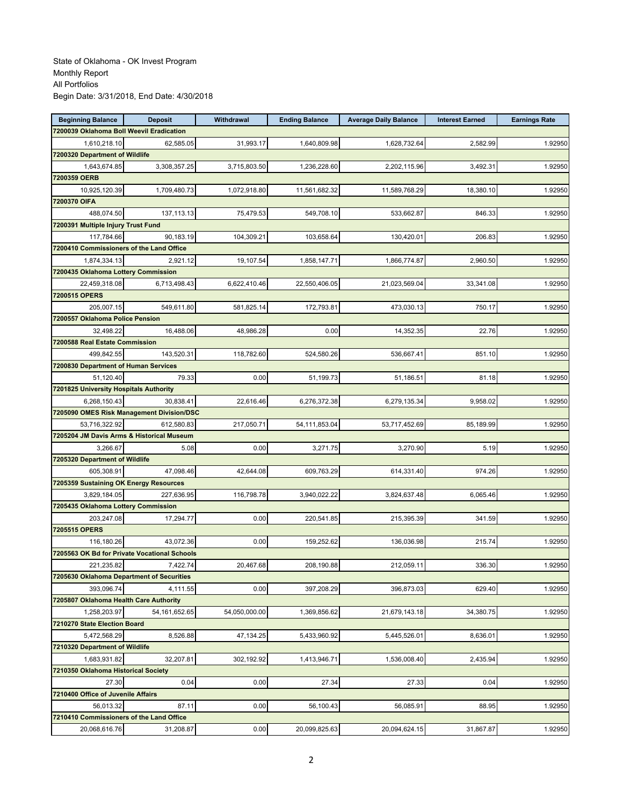| <b>Beginning Balance</b>                  | <b>Deposit</b>                               | <b>Withdrawal</b> | <b>Ending Balance</b> | <b>Average Daily Balance</b> | <b>Interest Earned</b> | <b>Earnings Rate</b> |
|-------------------------------------------|----------------------------------------------|-------------------|-----------------------|------------------------------|------------------------|----------------------|
| 7200039 Oklahoma Boll Weevil Eradication  |                                              |                   |                       |                              |                        |                      |
| 1,610,218.10                              | 62,585.05                                    | 31,993.17         | 1,640,809.98          | 1,628,732.64                 | 2.582.99               | 1.92950              |
| 7200320 Department of Wildlife            |                                              |                   |                       |                              |                        |                      |
| 1,643,674.85                              | 3,308,357.25                                 | 3,715,803.50      | 1,236,228.60          | 2,202,115.96                 | 3,492.31               | 1.92950              |
| 7200359 OERB                              |                                              |                   |                       |                              |                        |                      |
| 10,925,120.39                             | 1,709,480.73                                 | 1,072,918.80      | 11,561,682.32         | 11,589,768.29                | 18,380.10              | 1.92950              |
| 7200370 OIFA                              |                                              |                   |                       |                              |                        |                      |
| 488,074.50                                | 137, 113. 13                                 | 75,479.53         | 549,708.10            | 533,662.87                   | 846.33                 | 1.92950              |
| 7200391 Multiple Injury Trust Fund        |                                              |                   |                       |                              |                        |                      |
| 117,784.66                                | 90,183.19                                    | 104,309.21        | 103,658.64            | 130,420.01                   | 206.83                 | 1.92950              |
| 7200410 Commissioners of the Land Office  |                                              |                   |                       |                              |                        |                      |
| 1,874,334.13                              | 2,921.12                                     | 19,107.54         | 1,858,147.71          | 1,866,774.87                 | 2,960.50               | 1.92950              |
| 7200435 Oklahoma Lottery Commission       |                                              |                   |                       |                              |                        |                      |
| 22,459,318.08                             | 6,713,498.43                                 | 6,622,410.46      | 22,550,406.05         | 21,023,569.04                | 33,341.08              | 1.92950              |
| 7200515 OPERS                             |                                              |                   |                       |                              |                        |                      |
| 205,007.15                                | 549,611.80                                   | 581,825.14        | 172,793.81            | 473,030.13                   | 750.17                 | 1.92950              |
| 7200557 Oklahoma Police Pension           |                                              |                   |                       |                              |                        |                      |
| 32,498.22                                 | 16,488.06                                    | 48,986.28         | 0.00                  | 14,352.35                    | 22.76                  | 1.92950              |
| 7200588 Real Estate Commission            |                                              |                   |                       |                              |                        |                      |
| 499.842.55                                |                                              |                   |                       |                              |                        |                      |
|                                           | 143,520.31                                   | 118,782.60        | 524,580.26            | 536,667.41                   | 851.10                 | 1.92950              |
| 7200830 Department of Human Services      |                                              |                   |                       |                              |                        |                      |
| 51,120.40                                 | 79.33                                        | 0.00              | 51,199.73             | 51,186.51                    | 81.18                  | 1.92950              |
| 7201825 University Hospitals Authority    |                                              |                   |                       |                              |                        |                      |
| 6,268,150.43                              | 30,838.41                                    | 22,616.46         | 6,276,372.38          | 6,279,135.34                 | 9,958.02               | 1.92950              |
|                                           | 7205090 OMES Risk Management Division/DSC    |                   |                       |                              |                        |                      |
| 53,716,322.92                             | 612,580.83                                   | 217,050.71        | 54,111,853.04         | 53,717,452.69                | 85,189.99              | 1.92950              |
| 7205204 JM Davis Arms & Historical Museum |                                              |                   |                       |                              |                        |                      |
| 3,266.67                                  | 5.08                                         | 0.00              | 3,271.75              | 3,270.90                     | 5.19                   | 1.92950              |
| 7205320 Department of Wildlife            |                                              |                   |                       |                              |                        |                      |
| 605,308.91                                | 47,098.46                                    | 42,644.08         | 609,763.29            | 614,331.40                   | 974.26                 | 1.92950              |
| 7205359 Sustaining OK Energy Resources    |                                              |                   |                       |                              |                        |                      |
| 3,829,184.05                              | 227,636.95                                   | 116,798.78        | 3,940,022.22          | 3,824,637.48                 | 6,065.46               | 1.92950              |
| 7205435 Oklahoma Lottery Commission       |                                              |                   |                       |                              |                        |                      |
| 203,247.08                                | 17,294.77                                    | 0.00              | 220,541.85            | 215,395.39                   | 341.59                 | 1.92950              |
| 7205515 OPERS                             |                                              |                   |                       |                              |                        |                      |
| 116,180.26                                | 43,072.36                                    | 0.00              | 159,252.62            | 136,036.98                   | 215.74                 | 1.92950              |
|                                           | 7205563 OK Bd for Private Vocational Schools |                   |                       |                              |                        |                      |
| 221,235.82                                | 7,422.74                                     | 20,467.68         | 208,190.88            | 212,059.11                   | 336.30                 | 1.92950              |
| 7205630 Oklahoma Department of Securities |                                              |                   |                       |                              |                        |                      |
| 393.096.74                                | 4,111.55                                     | 0.00              | 397,208.29            | 396,873.03                   | 629.40                 | 1.92950              |
| 7205807 Oklahoma Health Care Authority    |                                              |                   |                       |                              |                        |                      |
| 1,258,203.97                              | 54, 161, 652. 65                             | 54,050,000.00     | 1,369,856.62          | 21,679,143.18                | 34,380.75              | 1.92950              |
| 7210270 State Election Board              |                                              |                   |                       |                              |                        |                      |
| 5,472,568.29                              | 8,526.88                                     | 47,134.25         | 5,433,960.92          | 5,445,526.01                 | 8,636.01               | 1.92950              |
| 7210320 Department of Wildlife            |                                              |                   |                       |                              |                        |                      |
| 1,683,931.82                              | 32,207.81                                    | 302,192.92        | 1,413,946.71          | 1,536,008.40                 | 2,435.94               | 1.92950              |
| 7210350 Oklahoma Historical Society       |                                              |                   |                       |                              |                        |                      |
| 27.30                                     | 0.04                                         | 0.00              | 27.34                 | 27.33                        | 0.04                   | 1.92950              |
| 7210400 Office of Juvenile Affairs        |                                              |                   |                       |                              |                        |                      |
| 56,013.32                                 | 87.11                                        | 0.00              | 56,100.43             | 56,085.91                    | 88.95                  | 1.92950              |
| 7210410 Commissioners of the Land Office  |                                              |                   |                       |                              |                        |                      |
| 20,068,616.76                             | 31,208.87                                    | 0.00              | 20,099,825.63         | 20,094,624.15                | 31,867.87              | 1.92950              |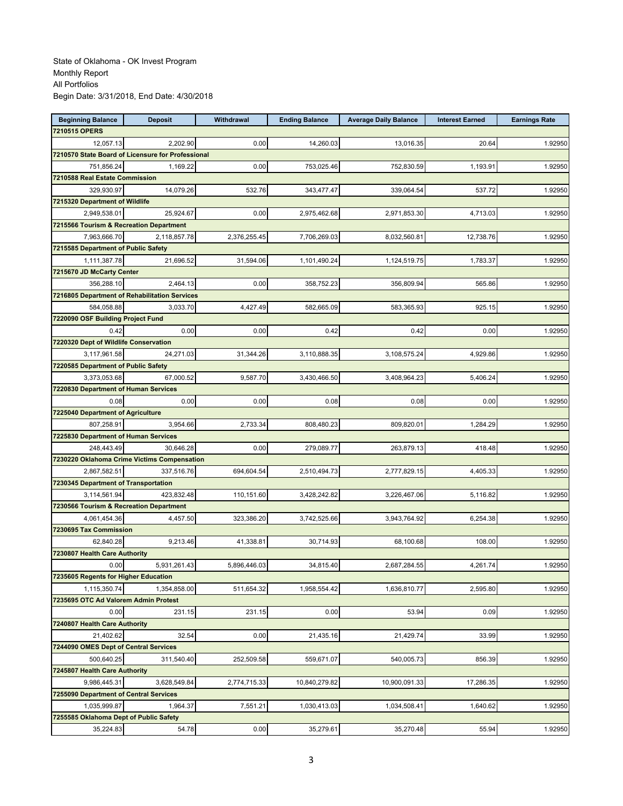| <b>Beginning Balance</b>                | <b>Deposit</b>                                    | Withdrawal   | <b>Ending Balance</b> | <b>Average Daily Balance</b> | <b>Interest Earned</b> | <b>Earnings Rate</b> |
|-----------------------------------------|---------------------------------------------------|--------------|-----------------------|------------------------------|------------------------|----------------------|
| 7210515 OPERS                           |                                                   |              |                       |                              |                        |                      |
| 12,057.13                               | 2,202.90                                          | 0.00         | 14,260.03             | 13,016.35                    | 20.64                  | 1.92950              |
|                                         | 7210570 State Board of Licensure for Professional |              |                       |                              |                        |                      |
| 751,856.24                              | 1,169.22                                          | 0.00         | 753,025.46            | 752,830.59                   | 1,193.91               | 1.92950              |
| 7210588 Real Estate Commission          |                                                   |              |                       |                              |                        |                      |
| 329,930.97                              | 14,079.26                                         | 532.76       | 343,477.47            | 339,064.54                   | 537.72                 | 1.92950              |
| 7215320 Department of Wildlife          |                                                   |              |                       |                              |                        |                      |
| 2,949,538.01                            | 25,924.67                                         | 0.00         | 2,975,462.68          | 2,971,853.30                 | 4,713.03               | 1.92950              |
| 7215566 Tourism & Recreation Department |                                                   |              |                       |                              |                        |                      |
| 7,963,666.70                            | 2,118,857.78                                      | 2,376,255.45 | 7,706,269.03          | 8,032,560.81                 | 12,738.76              | 1.92950              |
| 7215585 Department of Public Safety     |                                                   |              |                       |                              |                        |                      |
| 1,111,387.78                            | 21,696.52                                         | 31,594.06    | 1,101,490.24          | 1,124,519.75                 | 1.783.37               | 1.92950              |
| 7215670 JD McCarty Center               |                                                   |              |                       |                              |                        |                      |
| 356,288.10                              | 2,464.13                                          | 0.00         | 358,752.23            | 356,809.94                   | 565.86                 | 1.92950              |
|                                         | 7216805 Department of Rehabilitation Services     |              |                       |                              |                        |                      |
| 584,058.88                              | 3,033.70                                          | 4,427.49     | 582,665.09            | 583,365.93                   | 925.15                 | 1.92950              |
| 7220090 OSF Building Project Fund       |                                                   |              |                       |                              |                        |                      |
| 0.42                                    | 0.00                                              | 0.00         | 0.42                  | 0.42                         | 0.00                   | 1.92950              |
| 7220320 Dept of Wildlife Conservation   |                                                   |              |                       |                              |                        |                      |
| 3,117,961.58                            | 24,271.03                                         | 31,344.26    | 3,110,888.35          | 3,108,575.24                 | 4,929.86               | 1.92950              |
| 7220585 Department of Public Safety     |                                                   |              |                       |                              |                        |                      |
| 3,373,053.68                            | 67,000.52                                         | 9.587.70     | 3,430,466.50          | 3.408.964.23                 | 5,406.24               | 1.92950              |
| 7220830 Department of Human Services    |                                                   |              |                       |                              |                        |                      |
| 0.08                                    | 0.00                                              | 0.00         | 0.08                  | 0.08                         | 0.00                   | 1.92950              |
| 7225040 Department of Agriculture       |                                                   |              |                       |                              |                        |                      |
| 807,258.91                              | 3,954.66                                          | 2,733.34     | 808,480.23            | 809,820.01                   | 1,284.29               | 1.92950              |
| 7225830 Department of Human Services    |                                                   |              |                       |                              |                        |                      |
| 248,443.49                              | 30,646.28                                         | 0.00         | 279,089.77            | 263,879.13                   | 418.48                 | 1.92950              |
|                                         | 7230220 Oklahoma Crime Victims Compensation       |              |                       |                              |                        |                      |
| 2,867,582.51                            | 337,516.76                                        | 694,604.54   | 2,510,494.73          | 2,777,829.15                 | 4,405.33               | 1.92950              |
| 7230345 Department of Transportation    |                                                   |              |                       |                              |                        |                      |
| 3,114,561.94                            | 423,832.48                                        | 110,151.60   | 3,428,242.82          | 3,226,467.06                 | 5,116.82               | 1.92950              |
| 7230566 Tourism & Recreation Department |                                                   |              |                       |                              |                        |                      |
| 4,061,454.36                            | 4,457.50                                          | 323,386.20   | 3,742,525.66          | 3,943,764.92                 | 6,254.38               | 1.92950              |
| 7230695 Tax Commission                  |                                                   |              |                       |                              |                        |                      |
| 62,840.28                               | 9,213.46                                          | 41,338.81    | 30,714.93             | 68,100.68                    | 108.00                 | 1.92950              |
| 7230807 Health Care Authority           |                                                   |              |                       |                              |                        |                      |
| 0.00                                    | 5,931,261.43                                      | 5,896,446.03 | 34,815.40             | 2,687,284.55                 | 4,261.74               | 1.92950              |
| 7235605 Regents for Higher Education    |                                                   |              |                       |                              |                        |                      |
| 1,115,350.74                            | 1,354,858.00                                      | 511,654.32   | 1,958,554.42          | 1,636,810.77                 | 2,595.80               | 1.92950              |
| 7235695 OTC Ad Valorem Admin Protest    |                                                   |              |                       |                              |                        |                      |
| 0.00                                    | 231.15                                            | 231.15       | 0.00                  | 53.94                        | 0.09                   | 1.92950              |
| 7240807 Health Care Authority           |                                                   |              |                       |                              |                        |                      |
| 21,402.62                               | 32.54                                             | 0.00         | 21,435.16             | 21,429.74                    | 33.99                  | 1.92950              |
| 7244090 OMES Dept of Central Services   |                                                   |              |                       |                              |                        |                      |
| 500,640.25                              | 311,540.40                                        | 252,509.58   | 559,671.07            | 540,005.73                   | 856.39                 | 1.92950              |
| 7245807 Health Care Authority           |                                                   |              |                       |                              |                        |                      |
| 9,986,445.31                            | 3,628,549.84                                      | 2,774,715.33 | 10,840,279.82         | 10,900,091.33                | 17,286.35              | 1.92950              |
| 7255090 Department of Central Services  |                                                   |              |                       |                              |                        |                      |
| 1,035,999.87                            | 1,964.37                                          | 7,551.21     | 1,030,413.03          | 1,034,508.41                 | 1,640.62               | 1.92950              |
| 7255585 Oklahoma Dept of Public Safety  |                                                   |              |                       |                              |                        |                      |
| 35,224.83                               | 54.78                                             | 0.00         | 35,279.61             | 35,270.48                    | 55.94                  | 1.92950              |
|                                         |                                                   |              |                       |                              |                        |                      |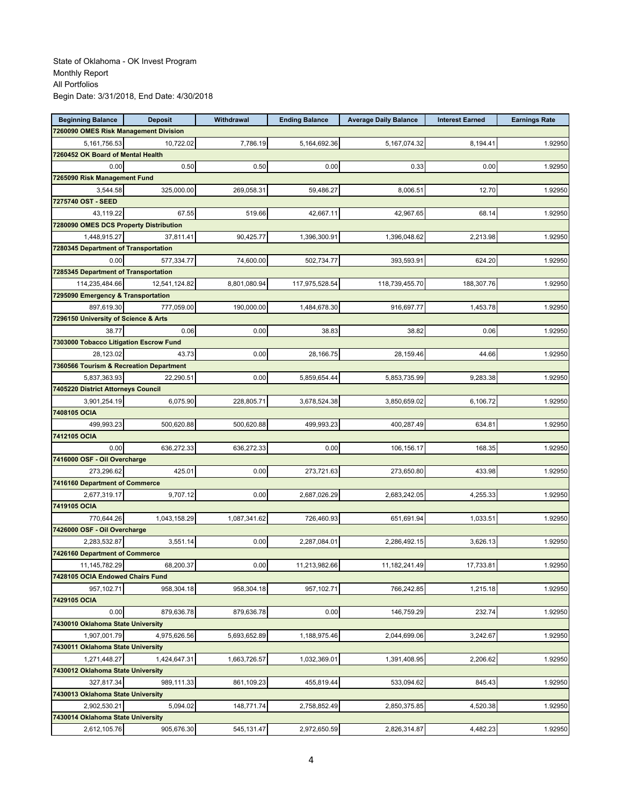| <b>Beginning Balance</b>                | <b>Deposit</b> | Withdrawal   | <b>Ending Balance</b> | <b>Average Daily Balance</b> | <b>Interest Earned</b> | <b>Earnings Rate</b> |
|-----------------------------------------|----------------|--------------|-----------------------|------------------------------|------------------------|----------------------|
| 7260090 OMES Risk Management Division   |                |              |                       |                              |                        |                      |
| 5, 161, 756. 53                         | 10,722.02      | 7,786.19     | 5,164,692.36          | 5,167,074.32                 | 8.194.41               | 1.92950              |
| 7260452 OK Board of Mental Health       |                |              |                       |                              |                        |                      |
| 0.00                                    | 0.50           | 0.50         | 0.00                  | 0.33                         | 0.00                   | 1.92950              |
| 7265090 Risk Management Fund            |                |              |                       |                              |                        |                      |
| 3,544.58                                | 325,000.00     | 269,058.31   | 59,486.27             | 8,006.51                     | 12.70                  | 1.92950              |
| 7275740 OST - SEED                      |                |              |                       |                              |                        |                      |
| 43,119.22                               | 67.55          | 519.66       | 42,667.11             | 42,967.65                    | 68.14                  | 1.92950              |
| 7280090 OMES DCS Property Distribution  |                |              |                       |                              |                        |                      |
| 1.448.915.27                            | 37.811.41      | 90,425.77    | 1,396,300.91          | 1,396,048.62                 | 2.213.98               | 1.92950              |
| 7280345 Department of Transportation    |                |              |                       |                              |                        |                      |
| 0.00                                    | 577,334.77     | 74,600.00    | 502,734.77            | 393,593.91                   | 624.20                 | 1.92950              |
| 7285345 Department of Transportation    |                |              |                       |                              |                        |                      |
| 114,235,484.66                          | 12,541,124.82  | 8,801,080.94 | 117,975,528.54        | 118,739,455.70               | 188,307.76             | 1.92950              |
| 7295090 Emergency & Transportation      |                |              |                       |                              |                        |                      |
| 897,619.30                              | 777,059.00     | 190,000.00   | 1,484,678.30          | 916,697.77                   | 1,453.78               | 1.92950              |
| 7296150 University of Science & Arts    |                |              |                       |                              |                        |                      |
| 38.77                                   | 0.06           | 0.00         | 38.83                 | 38.82                        | 0.06                   | 1.92950              |
| 7303000 Tobacco Litigation Escrow Fund  |                |              |                       |                              |                        |                      |
| 28.123.02                               | 43.73          | 0.00         | 28,166.75             | 28,159.46                    | 44.66                  | 1.92950              |
| 7360566 Tourism & Recreation Department |                |              |                       |                              |                        |                      |
| 5,837,363.93                            | 22.290.51      | 0.00         | 5,859,654.44          | 5,853,735.99                 | 9,283.38               | 1.92950              |
| 7405220 District Attorneys Council      |                |              |                       |                              |                        |                      |
| 3,901,254.19                            | 6,075.90       | 228,805.71   | 3,678,524.38          | 3,850,659.02                 | 6,106.72               | 1.92950              |
| 7408105 OCIA                            |                |              |                       |                              |                        |                      |
| 499,993.23                              | 500,620.88     | 500,620.88   | 499,993.23            | 400,287.49                   | 634.81                 | 1.92950              |
| 7412105 OCIA                            |                |              |                       |                              |                        |                      |
| 0.00                                    | 636,272.33     | 636,272.33   | 0.00                  | 106,156.17                   | 168.35                 | 1.92950              |
| 7416000 OSF - Oil Overcharge            |                |              |                       |                              |                        |                      |
| 273,296.62                              | 425.01         | 0.00         | 273,721.63            | 273,650.80                   | 433.98                 | 1.92950              |
| 7416160 Department of Commerce          |                |              |                       |                              |                        |                      |
| 2,677,319.17                            | 9,707.12       | 0.00         | 2,687,026.29          | 2,683,242.05                 | 4,255.33               | 1.92950              |
| 7419105 OCIA                            |                |              |                       |                              |                        |                      |
| 770,644.26                              | 1,043,158.29   | 1,087,341.62 | 726,460.93            | 651,691.94                   | 1,033.51               | 1.92950              |
| 7426000 OSF - Oil Overcharge            |                |              |                       |                              |                        |                      |
| 2,283,532.87                            | 3,551.14       | 0.00         | 2,287,084.01          | 2,286,492.15                 | 3,626.13               | 1.92950              |
| 7426160 Department of Commerce          |                |              |                       |                              |                        |                      |
| 11, 145, 782. 29                        | 68,200.37      | 0.00         | 11,213,982.66         | 11,182,241.49                | 17,733.81              | 1.92950              |
| 7428105 OCIA Endowed Chairs Fund        |                |              |                       |                              |                        |                      |
| 957.102.71                              | 958,304.18     | 958,304.18   | 957,102.71            | 766,242.85                   | 1,215.18               | 1.92950              |
| 7429105 OCIA                            |                |              |                       |                              |                        |                      |
| 0.00                                    | 879,636.78     | 879,636.78   | 0.00                  | 146,759.29                   | 232.74                 | 1.92950              |
| 7430010 Oklahoma State University       |                |              |                       |                              |                        |                      |
|                                         |                |              |                       |                              |                        |                      |
| 1,907,001.79                            | 4,975,626.56   | 5,693,652.89 | 1,188,975.46          | 2,044,699.06                 | 3,242.67               | 1.92950              |
| 7430011 Oklahoma State University       |                |              |                       |                              |                        |                      |
| 1,271,448.27                            | 1,424,647.31   | 1,663,726.57 | 1,032,369.01          | 1,391,408.95                 | 2,206.62               | 1.92950              |
| 7430012 Oklahoma State University       |                |              |                       |                              |                        |                      |
| 327,817.34                              | 989,111.33     | 861,109.23   | 455,819.44            | 533,094.62                   | 845.43                 | 1.92950              |
| 7430013 Oklahoma State University       |                |              |                       |                              |                        |                      |
| 2,902,530.21                            | 5,094.02       | 148,771.74   | 2,758,852.49          | 2,850,375.85                 | 4,520.38               | 1.92950              |
| 7430014 Oklahoma State University       |                |              |                       |                              |                        |                      |
| 2,612,105.76                            | 905,676.30     | 545,131.47   | 2,972,650.59          | 2,826,314.87                 | 4,482.23               | 1.92950              |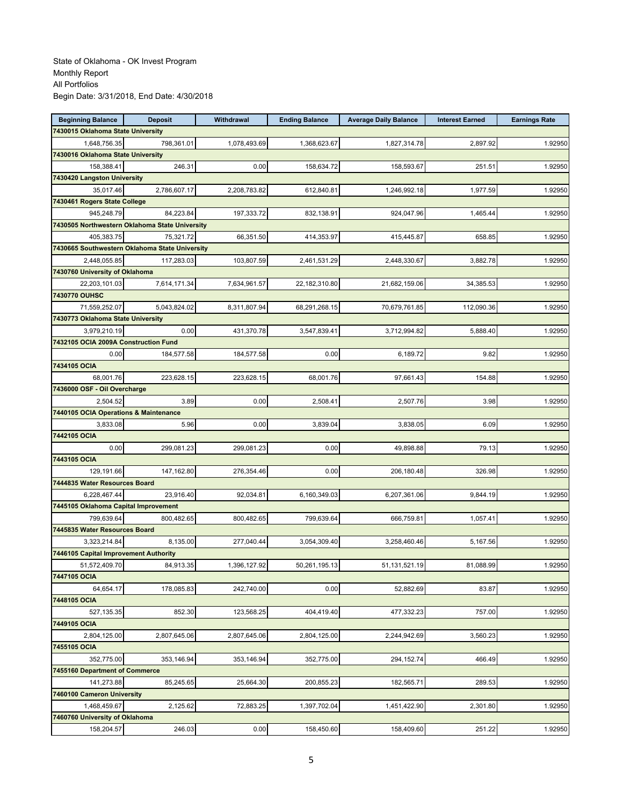| <b>Beginning Balance</b>              | <b>Deposit</b>                                 | Withdrawal   | <b>Ending Balance</b> | <b>Average Daily Balance</b> | <b>Interest Earned</b> | <b>Earnings Rate</b> |
|---------------------------------------|------------------------------------------------|--------------|-----------------------|------------------------------|------------------------|----------------------|
| 7430015 Oklahoma State University     |                                                |              |                       |                              |                        |                      |
| 1,648,756.35                          | 798,361.01                                     | 1,078,493.69 | 1,368,623.67          | 1,827,314.78                 | 2,897.92               | 1.92950              |
| 7430016 Oklahoma State University     |                                                |              |                       |                              |                        |                      |
| 158,388.41                            | 246.31                                         | 0.00         | 158,634.72            | 158,593.67                   | 251.51                 | 1.92950              |
| 7430420 Langston University           |                                                |              |                       |                              |                        |                      |
| 35.017.46                             | 2,786,607.17                                   | 2,208,783.82 | 612,840.81            | 1,246,992.18                 | 1,977.59               | 1.92950              |
| 7430461 Rogers State College          |                                                |              |                       |                              |                        |                      |
| 945,248.79                            | 84,223.84                                      | 197,333.72   | 832,138.91            | 924,047.96                   | 1,465.44               | 1.92950              |
|                                       | 7430505 Northwestern Oklahoma State University |              |                       |                              |                        |                      |
| 405,383.75                            | 75,321.72                                      | 66,351.50    | 414,353.97            | 415,445.87                   | 658.85                 | 1.92950              |
|                                       | 7430665 Southwestern Oklahoma State University |              |                       |                              |                        |                      |
| 2,448,055.85                          | 117,283.03                                     | 103,807.59   | 2,461,531.29          | 2,448,330.67                 | 3,882.78               | 1.92950              |
| 7430760 University of Oklahoma        |                                                |              |                       |                              |                        |                      |
| 22,203,101.03                         | 7,614,171.34                                   | 7,634,961.57 | 22,182,310.80         | 21,682,159.06                | 34,385.53              | 1.92950              |
| 7430770 OUHSC                         |                                                |              |                       |                              |                        |                      |
| 71,559,252.07                         | 5,043,824.02                                   | 8,311,807.94 | 68,291,268.15         | 70,679,761.85                | 112,090.36             | 1.92950              |
| 7430773 Oklahoma State University     |                                                |              |                       |                              |                        |                      |
| 3,979,210.19                          | 0.00                                           | 431,370.78   | 3,547,839.41          | 3,712,994.82                 | 5,888.40               | 1.92950              |
| 7432105 OCIA 2009A Construction Fund  |                                                |              |                       |                              |                        |                      |
| 0.00                                  | 184,577.58                                     | 184,577.58   | 0.00                  | 6,189.72                     | 9.82                   | 1.92950              |
| 7434105 OCIA                          |                                                |              |                       |                              |                        |                      |
|                                       |                                                |              | 68.001.76             |                              |                        | 1.92950              |
| 68,001.76                             | 223,628.15                                     | 223,628.15   |                       | 97,661.43                    | 154.88                 |                      |
| 7436000 OSF - Oil Overcharge          |                                                |              |                       |                              |                        |                      |
| 2,504.52                              | 3.89                                           | 0.00         | 2,508.41              | 2,507.76                     | 3.98                   | 1.92950              |
| 7440105 OCIA Operations & Maintenance |                                                |              |                       |                              |                        |                      |
| 3,833.08                              | 5.96                                           | 0.00         | 3,839.04              | 3,838.05                     | 6.09                   | 1.92950              |
| 7442105 OCIA                          |                                                |              |                       |                              |                        |                      |
| 0.00                                  | 299,081.23                                     | 299,081.23   | 0.00                  | 49,898.88                    | 79.13                  | 1.92950              |
| 7443105 OCIA                          |                                                |              |                       |                              |                        |                      |
| 129,191.66                            | 147,162.80                                     | 276,354.46   | 0.00                  | 206,180.48                   | 326.98                 | 1.92950              |
| 7444835 Water Resources Board         |                                                |              |                       |                              |                        |                      |
| 6,228,467.44                          | 23,916.40                                      | 92,034.81    | 6,160,349.03          | 6,207,361.06                 | 9,844.19               | 1.92950              |
| 7445105 Oklahoma Capital Improvement  |                                                |              |                       |                              |                        |                      |
| 799,639.64                            | 800,482.65                                     | 800,482.65   | 799,639.64            | 666,759.81                   | 1,057.41               | 1.92950              |
| 7445835 Water Resources Board         |                                                |              |                       |                              |                        |                      |
| 3,323,214.84                          | 8,135.00                                       | 277,040.44   | 3,054,309.40          | 3,258,460.46                 | 5,167.56               | 1.92950              |
| 7446105 Capital Improvement Authority |                                                |              |                       |                              |                        |                      |
| 51,572,409.70                         | 84,913.35                                      | 1,396,127.92 | 50,261,195.13         | 51,131,521.19                | 81,088.99              | 1.92950              |
| 7447105 OCIA                          |                                                |              |                       |                              |                        |                      |
| 64.654.17                             | 178,085.83                                     | 242,740.00   | 0.00                  | 52,882.69                    | 83.87                  | 1.92950              |
| 7448105 OCIA                          |                                                |              |                       |                              |                        |                      |
| 527,135.35                            | 852.30                                         | 123,568.25   | 404,419.40            | 477,332.23                   | 757.00                 | 1.92950              |
| 7449105 OCIA                          |                                                |              |                       |                              |                        |                      |
| 2,804,125.00                          | 2,807,645.06                                   | 2,807,645.06 | 2,804,125.00          | 2,244,942.69                 | 3,560.23               | 1.92950              |
| 7455105 OCIA                          |                                                |              |                       |                              |                        |                      |
| 352,775.00                            | 353,146.94                                     | 353,146.94   | 352,775.00            | 294,152.74                   | 466.49                 | 1.92950              |
| 7455160 Department of Commerce        |                                                |              |                       |                              |                        |                      |
| 141,273.88                            | 85,245.65                                      | 25,664.30    | 200,855.23            | 182,565.71                   | 289.53                 | 1.92950              |
| 7460100 Cameron University            |                                                |              |                       |                              |                        |                      |
| 1,468,459.67                          | 2,125.62                                       | 72,883.25    | 1,397,702.04          | 1,451,422.90                 | 2,301.80               | 1.92950              |
| 7460760 University of Oklahoma        |                                                |              |                       |                              |                        |                      |
| 158,204.57                            | 246.03                                         | 0.00         | 158,450.60            | 158,409.60                   | 251.22                 | 1.92950              |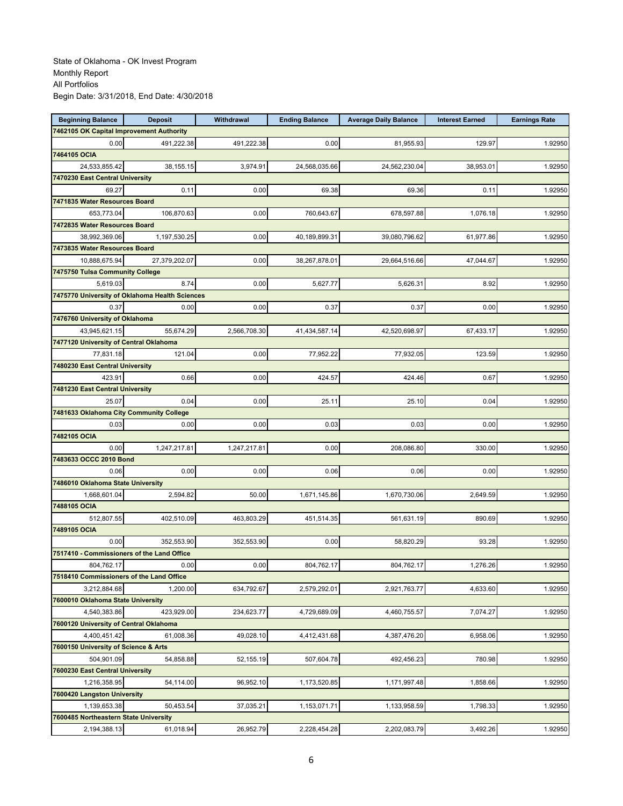| <b>Beginning Balance</b>                               | <b>Deposit</b>                                 | Withdrawal   | <b>Ending Balance</b> | <b>Average Daily Balance</b> | <b>Interest Earned</b> | <b>Earnings Rate</b> |
|--------------------------------------------------------|------------------------------------------------|--------------|-----------------------|------------------------------|------------------------|----------------------|
| 7462105 OK Capital Improvement Authority               |                                                |              |                       |                              |                        |                      |
| 0.00                                                   | 491,222.38                                     | 491,222.38   | 0.00                  | 81,955.93                    | 129.97                 | 1.92950              |
| 7464105 OCIA                                           |                                                |              |                       |                              |                        |                      |
| 24,533,855.42                                          | 38,155.15                                      | 3,974.91     | 24,568,035.66         | 24,562,230.04                | 38,953.01              | 1.92950              |
| 7470230 East Central University                        |                                                |              |                       |                              |                        |                      |
| 69.27                                                  | 0.11                                           | 0.00         | 69.38                 | 69.36                        | 0.11                   | 1.92950              |
| 7471835 Water Resources Board                          |                                                |              |                       |                              |                        |                      |
| 653,773.04                                             | 106,870.63                                     | 0.00         | 760,643.67            | 678,597.88                   | 1,076.18               | 1.92950              |
| 7472835 Water Resources Board                          |                                                |              |                       |                              |                        |                      |
| 38,992,369.06                                          | 1,197,530.25                                   | 0.00         | 40,189,899.31         | 39,080,796.62                | 61,977.86              | 1.92950              |
| 7473835 Water Resources Board                          |                                                |              |                       |                              |                        |                      |
| 10,888,675.94                                          | 27,379,202.07                                  | 0.00         | 38,267,878.0          | 29,664,516.66                | 47,044.67              | 1.92950              |
| 7475750 Tulsa Community College                        |                                                |              |                       |                              |                        |                      |
| 5,619.03                                               | 8.74                                           | 0.00         | 5,627.77              | 5,626.31                     | 8.92                   | 1.92950              |
|                                                        | 7475770 University of Oklahoma Health Sciences |              |                       |                              |                        |                      |
| 0.37                                                   | 0.00                                           | 0.00         | 0.37                  | 0.37                         | 0.00                   | 1.92950              |
| 7476760 University of Oklahoma                         |                                                |              |                       |                              |                        |                      |
| 43,945,621.15                                          | 55,674.29                                      | 2,566,708.30 | 41,434,587.14         | 42,520,698.97                | 67,433.17              | 1.92950              |
| 7477120 University of Central Oklahoma                 |                                                |              |                       |                              |                        |                      |
| 77,831.18                                              | 121.04                                         | 0.00         | 77,952.22             | 77,932.05                    | 123.59                 | 1.92950              |
| 7480230 East Central University                        |                                                |              |                       |                              |                        |                      |
| 423.91                                                 | 0.66                                           | 0.00         | 424.57                | 424.46                       | 0.67                   | 1.92950              |
| 7481230 East Central University                        |                                                |              |                       |                              |                        |                      |
| 25.07                                                  | 0.04                                           | 0.00         | 25.11                 | 25.10                        | 0.04                   | 1.92950              |
| 7481633 Oklahoma City Community College                |                                                |              |                       |                              |                        |                      |
| 0.03                                                   | 0.00                                           | 0.00         | 0.03                  | 0.03                         | 0.00                   | 1.92950              |
| 7482105 OCIA                                           |                                                |              |                       |                              |                        |                      |
| 0.00                                                   | 1,247,217.81                                   | 1,247,217.81 | 0.00                  | 208,086.80                   | 330.00                 | 1.92950              |
| 7483633 OCCC 2010 Bond                                 |                                                |              |                       |                              |                        |                      |
| 0.06                                                   | 0.00                                           | 0.00         | 0.06                  | 0.06                         | 0.00                   | 1.92950              |
| 7486010 Oklahoma State University                      |                                                |              |                       |                              |                        |                      |
| 1,668,601.04                                           | 2,594.82                                       | 50.00        | 1,671,145.86          | 1,670,730.06                 | 2,649.59               | 1.92950              |
| 7488105 OCIA                                           |                                                |              |                       |                              |                        |                      |
| 512,807.55                                             | 402,510.09                                     | 463,803.29   | 451,514.35            | 561,631.19                   | 890.69                 | 1.92950              |
| 7489105 OCIA                                           |                                                |              |                       |                              |                        |                      |
| 0.00                                                   | 352,553.90                                     | 352,553.90   | 0.00                  | 58,820.29                    | 93.28                  | 1.92950              |
| 7517410 - Commissioners of the Land Office             |                                                |              |                       |                              |                        |                      |
| 804,762.17                                             | 0.00                                           | 0.00         | 804,762.17            | 804,762.17                   | 1,276.26               | 1.92950              |
| 7518410 Commissioners of the Land Office               |                                                |              |                       |                              |                        |                      |
| 3,212,884.68                                           | 1,200.00                                       | 634,792.67   | 2,579,292.01          | 2,921,763.77                 | 4,633.60               | 1.92950              |
| 7600010 Oklahoma State University                      |                                                |              |                       |                              |                        |                      |
|                                                        | 423,929.00                                     | 234,623.77   | 4,729,689.09          | 4,460,755.57                 |                        |                      |
| 4,540,383.86<br>7600120 University of Central Oklahoma |                                                |              |                       |                              | 7,074.27               | 1.92950              |
|                                                        |                                                |              |                       |                              |                        |                      |
| 4,400,451.42                                           | 61,008.36                                      | 49,028.10    | 4,412,431.68          | 4,387,476.20                 | 6,958.06               | 1.92950              |
| 7600150 University of Science & Arts                   |                                                |              |                       |                              |                        |                      |
| 504,901.09                                             | 54,858.88                                      | 52,155.19    | 507,604.78            | 492,456.23                   | 780.98                 | 1.92950              |
| 7600230 East Central University                        |                                                |              |                       |                              |                        |                      |
| 1,216,358.95                                           | 54,114.00                                      | 96,952.10    | 1,173,520.85          | 1,171,997.48                 | 1,858.66               | 1.92950              |
| 7600420 Langston University                            |                                                |              |                       |                              |                        |                      |
| 1,139,653.38                                           | 50,453.54                                      | 37,035.21    | 1,153,071.71          | 1,133,958.59                 | 1,798.33               | 1.92950              |
| 7600485 Northeastern State University                  |                                                |              |                       |                              |                        |                      |
| 2,194,388.13                                           | 61,018.94                                      | 26,952.79    | 2,228,454.28          | 2,202,083.79                 | 3,492.26               | 1.92950              |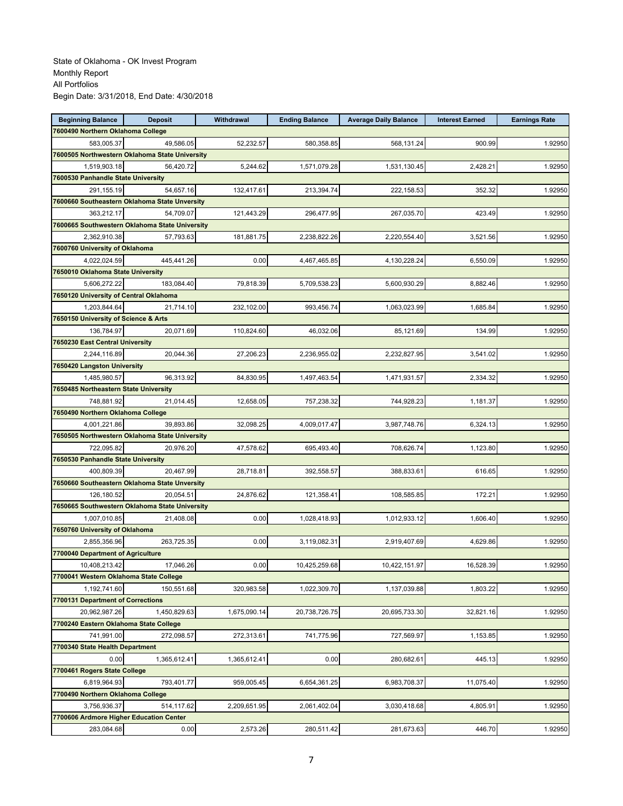| <b>Beginning Balance</b>                       | <b>Deposit</b> | Withdrawal   | <b>Ending Balance</b> | <b>Average Daily Balance</b> | <b>Interest Earned</b> | <b>Earnings Rate</b> |
|------------------------------------------------|----------------|--------------|-----------------------|------------------------------|------------------------|----------------------|
| 7600490 Northern Oklahoma College              |                |              |                       |                              |                        |                      |
| 583,005.37                                     | 49,586.05      | 52,232.57    | 580,358.85            | 568,131.24                   | 900.99                 | 1.92950              |
| 7600505 Northwestern Oklahoma State University |                |              |                       |                              |                        |                      |
| 1,519,903.18                                   | 56,420.72      | 5,244.62     | 1,571,079.28          | 1,531,130.45                 | 2,428.21               | 1.92950              |
| 7600530 Panhandle State University             |                |              |                       |                              |                        |                      |
| 291,155.19                                     | 54,657.16      | 132,417.61   | 213,394.74            | 222,158.53                   | 352.32                 | 1.92950              |
| 7600660 Southeastern Oklahoma State Unversity  |                |              |                       |                              |                        |                      |
| 363,212.17                                     | 54,709.07      | 121,443.29   | 296,477.95            | 267,035.70                   | 423.49                 | 1.92950              |
| 7600665 Southwestern Oklahoma State University |                |              |                       |                              |                        |                      |
| 2,362,910.38                                   | 57,793.63      | 181,881.75   | 2,238,822.26          | 2,220,554.40                 | 3,521.56               | 1.92950              |
| 7600760 University of Oklahoma                 |                |              |                       |                              |                        |                      |
| 4,022,024.59                                   | 445.441.26     | 0.00         | 4,467,465.85          | 4,130,228.24                 | 6,550.09               | 1.92950              |
| 7650010 Oklahoma State University              |                |              |                       |                              |                        |                      |
| 5,606,272.22                                   | 183,084.40     | 79,818.39    | 5,709,538.23          | 5,600,930.29                 | 8,882.46               | 1.92950              |
| 7650120 University of Central Oklahoma         |                |              |                       |                              |                        |                      |
| 1,203,844.64                                   | 21,714.10      | 232,102.00   | 993,456.74            | 1,063,023.99                 | 1,685.84               | 1.92950              |
| 7650150 University of Science & Arts           |                |              |                       |                              |                        |                      |
| 136,784.97                                     | 20,071.69      | 110,824.60   | 46,032.06             | 85,121.69                    | 134.99                 | 1.92950              |
| 7650230 East Central University                |                |              |                       |                              |                        |                      |
| 2,244,116.89                                   | 20,044.36      | 27,206.23    | 2,236,955.02          | 2,232,827.95                 | 3.541.02               | 1.92950              |
| 7650420 Langston University                    |                |              |                       |                              |                        |                      |
| 1,485,980.57                                   | 96,313.92      | 84,830.95    | 1,497,463.54          | 1,471,931.57                 | 2,334.32               | 1.92950              |
| 7650485 Northeastern State University          |                |              |                       |                              |                        |                      |
| 748.881.92                                     | 21,014.45      | 12,658.05    | 757,238.32            | 744,928.23                   | 1,181.37               | 1.92950              |
| 7650490 Northern Oklahoma College              |                |              |                       |                              |                        |                      |
| 4,001,221.86                                   | 39,893.86      | 32,098.25    | 4,009,017.47          | 3,987,748.76                 | 6,324.13               | 1.92950              |
| 7650505 Northwestern Oklahoma State University |                |              |                       |                              |                        |                      |
| 722,095.82                                     | 20,976.20      | 47,578.62    | 695,493.40            | 708,626.74                   | 1,123.80               | 1.92950              |
| 7650530 Panhandle State University             |                |              |                       |                              |                        |                      |
| 400,809.39                                     | 20,467.99      | 28,718.81    | 392,558.57            | 388,833.61                   | 616.65                 | 1.92950              |
| 7650660 Southeastern Oklahoma State Unversity  |                |              |                       |                              |                        |                      |
| 126,180.52                                     | 20,054.51      | 24,876.62    | 121,358.41            | 108,585.85                   | 172.21                 | 1.92950              |
| 7650665 Southwestern Oklahoma State University |                |              |                       |                              |                        |                      |
| 1,007,010.85                                   | 21,408.08      | 0.00         | 1,028,418.93          | 1,012,933.12                 | 1,606.40               | 1.92950              |
| 7650760 University of Oklahoma                 |                |              |                       |                              |                        |                      |
| 2,855,356.96                                   | 263,725.35     | 0.00         | 3,119,082.31          | 2,919,407.69                 | 4,629.86               | 1.92950              |
| 7700040 Department of Agriculture              |                |              |                       |                              |                        |                      |
| 10,408,213.42                                  | 17,046.26      | 0.00         | 10,425,259.68         | 10,422,151.97                | 16,528.39              | 1.92950              |
| 7700041 Western Oklahoma State College         |                |              |                       |                              |                        |                      |
| 1,192,741.60                                   | 150,551.68     | 320,983.58   | 1,022,309.70          | 1,137,039.88                 | 1,803.22               | 1.92950              |
| 7700131 Department of Corrections              |                |              |                       |                              |                        |                      |
| 20,962,987.26                                  | 1,450,829.63   | 1,675,090.14 | 20,738,726.75         | 20,695,733.30                | 32,821.16              | 1.92950              |
| 7700240 Eastern Oklahoma State College         |                |              |                       |                              |                        |                      |
| 741,991.00                                     | 272,098.57     | 272,313.61   | 741,775.96            | 727,569.97                   | 1,153.85               | 1.92950              |
| 7700340 State Health Department                |                |              |                       |                              |                        |                      |
| 0.00                                           | 1,365,612.41   | 1,365,612.41 | 0.00                  | 280,682.61                   | 445.13                 | 1.92950              |
| 7700461 Rogers State College                   |                |              |                       |                              |                        |                      |
| 6,819,964.93                                   | 793,401.77     | 959.005.45   | 6,654,361.25          | 6,983,708.37                 | 11,075.40              | 1.92950              |
| 7700490 Northern Oklahoma College              |                |              |                       |                              |                        |                      |
| 3,756,936.37                                   | 514,117.62     | 2,209,651.95 | 2,061,402.04          | 3,030,418.68                 | 4,805.91               | 1.92950              |
| 7700606 Ardmore Higher Education Center        |                |              |                       |                              |                        |                      |
| 283,084.68                                     | 0.00           | 2,573.26     | 280,511.42            | 281,673.63                   | 446.70                 | 1.92950              |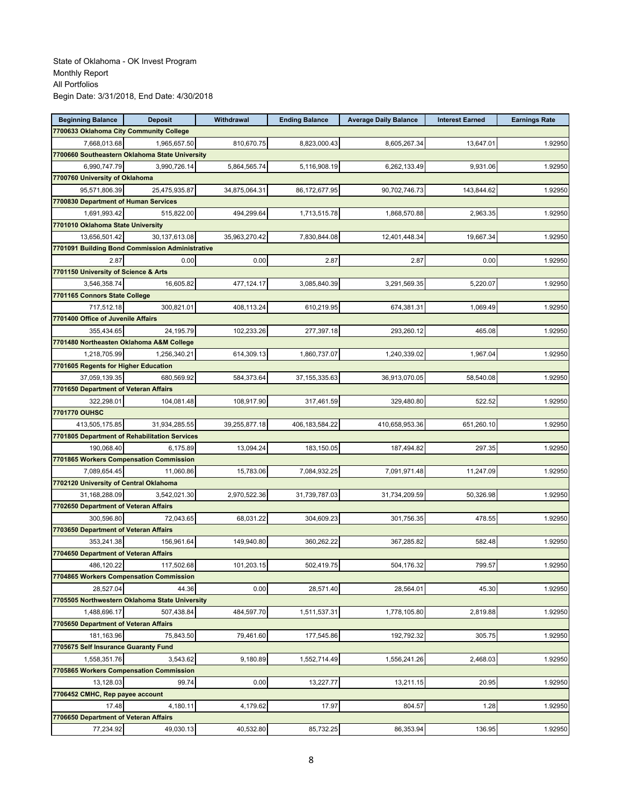| <b>Beginning Balance</b>                       | <b>Deposit</b>                                  | Withdrawal    | <b>Ending Balance</b> | <b>Average Daily Balance</b> | <b>Interest Earned</b> | <b>Earnings Rate</b> |
|------------------------------------------------|-------------------------------------------------|---------------|-----------------------|------------------------------|------------------------|----------------------|
| 7700633 Oklahoma City Community College        |                                                 |               |                       |                              |                        |                      |
| 7,668,013.68                                   | 1,965,657.50                                    | 810,670.75    | 8,823,000.43          | 8,605,267.34                 | 13,647.01              | 1.92950              |
| 7700660 Southeastern Oklahoma State University |                                                 |               |                       |                              |                        |                      |
| 6,990,747.79                                   | 3,990,726.14                                    | 5,864,565.74  | 5,116,908.19          | 6,262,133.49                 | 9,931.06               | 1.92950              |
| 7700760 University of Oklahoma                 |                                                 |               |                       |                              |                        |                      |
| 95,571,806.39                                  | 25,475,935.87                                   | 34,875,064.31 | 86,172,677.95         | 90,702,746.73                | 143,844.62             | 1.92950              |
| 7700830 Department of Human Services           |                                                 |               |                       |                              |                        |                      |
| 1,691,993.42                                   | 515,822.00                                      | 494,299.64    | 1,713,515.78          | 1,868,570.88                 | 2,963.35               | 1.92950              |
| 7701010 Oklahoma State University              |                                                 |               |                       |                              |                        |                      |
| 13,656,501.42                                  | 30,137,613.08                                   | 35,963,270.42 | 7,830,844.08          | 12,401,448.34                | 19,667.34              | 1.92950              |
|                                                | 7701091 Building Bond Commission Administrative |               |                       |                              |                        |                      |
| 2.87                                           | 0.00                                            | 0.00          | 2.87                  | 2.87                         | 0.00                   | 1.92950              |
| 7701150 University of Science & Arts           |                                                 |               |                       |                              |                        |                      |
| 3,546,358.74                                   | 16,605.82                                       | 477,124.17    | 3,085,840.39          | 3,291,569.35                 | 5,220.07               | 1.92950              |
| 7701165 Connors State College                  |                                                 |               |                       |                              |                        |                      |
| 717,512.18                                     | 300,821.01                                      | 408,113.24    | 610,219.95            | 674,381.31                   | 1,069.49               | 1.92950              |
| 7701400 Office of Juvenile Affairs             |                                                 |               |                       |                              |                        |                      |
| 355,434.65                                     | 24,195.79                                       | 102,233.26    | 277,397.18            | 293,260.12                   | 465.08                 | 1.92950              |
| 7701480 Northeasten Oklahoma A&M College       |                                                 |               |                       |                              |                        |                      |
| 1,218,705.99                                   | 1,256,340.21                                    | 614,309.13    | 1,860,737.07          | 1,240,339.02                 | 1,967.04               | 1.92950              |
| 7701605 Regents for Higher Education           |                                                 |               |                       |                              |                        |                      |
| 37,059,139.35                                  | 680,569.92                                      | 584,373.64    | 37, 155, 335. 63      | 36,913,070.05                | 58,540.08              | 1.92950              |
| 7701650 Department of Veteran Affairs          |                                                 |               |                       |                              |                        |                      |
| 322,298.01                                     | 104,081.48                                      | 108,917.90    | 317,461.59            | 329,480.80                   | 522.52                 | 1.92950              |
| 7701770 OUHSC                                  |                                                 |               |                       |                              |                        |                      |
| 413,505,175.85                                 | 31,934,285.55                                   | 39,255,877.18 | 406, 183, 584. 22     | 410,658,953.36               | 651,260.10             | 1.92950              |
| 7701805 Department of Rehabilitation Services  |                                                 |               |                       |                              |                        |                      |
| 190,068.40                                     | 6,175.89                                        | 13,094.24     | 183,150.05            | 187,494.82                   | 297.35                 | 1.92950              |
| 7701865 Workers Compensation Commission        |                                                 |               |                       |                              |                        |                      |
| 7,089,654.45                                   | 11,060.86                                       | 15,783.06     | 7,084,932.25          | 7,091,971.48                 | 11,247.09              | 1.92950              |
| 7702120 University of Central Oklahoma         |                                                 |               |                       |                              |                        |                      |
| 31,168,288.09                                  | 3,542,021.30                                    | 2,970,522.36  | 31,739,787.03         | 31,734,209.59                | 50,326.98              | 1.92950              |
| 7702650 Department of Veteran Affairs          |                                                 |               |                       |                              |                        |                      |
| 300,596.80                                     | 72,043.65                                       | 68,031.22     | 304,609.23            | 301,756.35                   | 478.55                 | 1.92950              |
| 7703650 Department of Veteran Affairs          |                                                 |               |                       |                              |                        |                      |
| 353,241.38                                     | 156,961.64                                      | 149,940.80    | 360,262.22            | 367,285.82                   | 582.48                 | 1.92950              |
| 7704650 Department of Veteran Affairs          |                                                 |               |                       |                              |                        |                      |
| 486,120.22                                     | 117,502.68                                      | 101,203.15    | 502,419.75            | 504,176.32                   | 799.57                 | 1.92950              |
| 7704865 Workers Compensation Commission        |                                                 |               |                       |                              |                        |                      |
| 28.527.04                                      | 44.36                                           | 0.00          | 28,571.40             | 28,564.01                    | 45.30                  | 1.92950              |
| 7705505 Northwestern Oklahoma State University |                                                 |               |                       |                              |                        |                      |
| 1,488,696.17                                   | 507,438.84                                      | 484,597.70    | 1,511,537.31          | 1,778,105.80                 | 2,819.88               | 1.92950              |
| 7705650 Department of Veteran Affairs          |                                                 |               |                       |                              |                        |                      |
| 181,163.96                                     | 75,843.50                                       | 79,461.60     | 177,545.86            | 192,792.32                   | 305.75                 | 1.92950              |
| 7705675 Self Insurance Guaranty Fund           |                                                 |               |                       |                              |                        |                      |
| 1,558,351.76                                   | 3,543.62                                        | 9,180.89      | 1,552,714.49          | 1,556,241.26                 | 2,468.03               | 1.92950              |
|                                                | 7705865 Workers Compensation Commission         |               |                       |                              |                        |                      |
| 13,128.03                                      | 99.74                                           | 0.00          | 13,227.77             | 13,211.15                    | 20.95                  | 1.92950              |
| 7706452 CMHC, Rep payee account                |                                                 |               |                       |                              |                        |                      |
| 17.48                                          | 4,180.11                                        | 4,179.62      | 17.97                 | 804.57                       | 1.28                   | 1.92950              |
| 7706650 Department of Veteran Affairs          |                                                 |               |                       |                              |                        |                      |
| 77,234.92                                      | 49,030.13                                       | 40,532.80     | 85,732.25             | 86,353.94                    | 136.95                 | 1.92950              |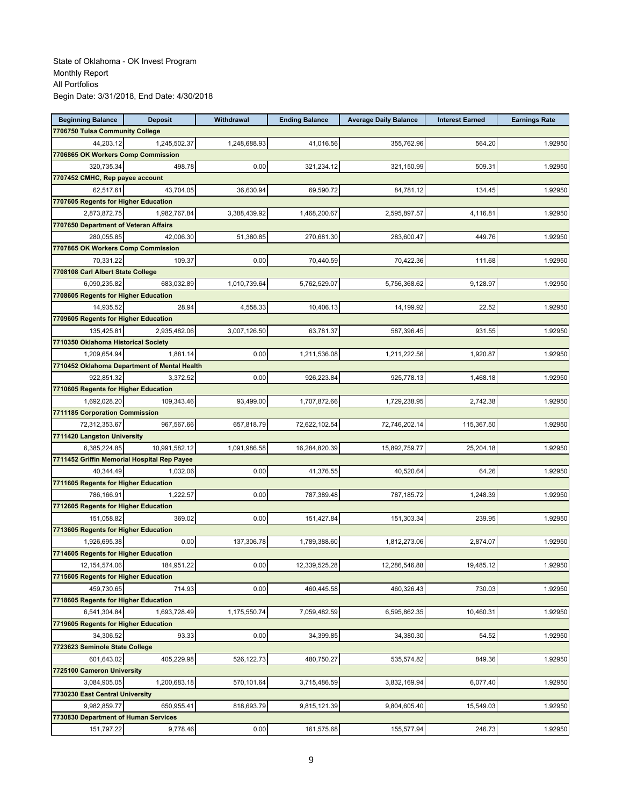| <b>Beginning Balance</b>                    | <b>Deposit</b>                               | Withdrawal   | <b>Ending Balance</b> | <b>Average Daily Balance</b> | <b>Interest Earned</b> | <b>Earnings Rate</b> |
|---------------------------------------------|----------------------------------------------|--------------|-----------------------|------------------------------|------------------------|----------------------|
| 7706750 Tulsa Community College             |                                              |              |                       |                              |                        |                      |
| 44,203.12                                   | 1,245,502.37                                 | 1,248,688.93 | 41,016.56             | 355,762.96                   | 564.20                 | 1.92950              |
| 7706865 OK Workers Comp Commission          |                                              |              |                       |                              |                        |                      |
| 320,735.34                                  | 498.78                                       | 0.00         | 321,234.12            | 321,150.99                   | 509.31                 | 1.92950              |
| 7707452 CMHC, Rep payee account             |                                              |              |                       |                              |                        |                      |
| 62,517.61                                   | 43,704.05                                    | 36,630.94    | 69.590.72             | 84,781.12                    | 134.45                 | 1.92950              |
| 7707605 Regents for Higher Education        |                                              |              |                       |                              |                        |                      |
| 2,873,872.75                                | 1,982,767.84                                 | 3,388,439.92 | 1,468,200.67          | 2,595,897.57                 | 4,116.81               | 1.92950              |
| 7707650 Department of Veteran Affairs       |                                              |              |                       |                              |                        |                      |
| 280,055.85                                  | 42,006.30                                    | 51,380.85    | 270.681.30            | 283,600.47                   | 449.76                 | 1.92950              |
| 7707865 OK Workers Comp Commission          |                                              |              |                       |                              |                        |                      |
| 70,331.22                                   | 109.37                                       | 0.00         | 70,440.59             | 70,422.36                    | 111.68                 | 1.92950              |
| 7708108 Carl Albert State College           |                                              |              |                       |                              |                        |                      |
| 6,090,235.82                                | 683,032.89                                   | 1,010,739.64 | 5,762,529.07          | 5,756,368.62                 | 9,128.97               | 1.92950              |
| 7708605 Regents for Higher Education        |                                              |              |                       |                              |                        |                      |
| 14,935.52                                   | 28.94                                        | 4,558.33     | 10,406.13             | 14,199.92                    | 22.52                  | 1.92950              |
| 7709605 Regents for Higher Education        |                                              |              |                       |                              |                        |                      |
| 135,425.81                                  | 2,935,482.06                                 | 3,007,126.50 | 63,781.37             | 587,396.45                   | 931.55                 | 1.92950              |
| 7710350 Oklahoma Historical Society         |                                              |              |                       |                              |                        |                      |
| 1,209,654.94                                | 1,881.14                                     | 0.00         | 1,211,536.08          | 1,211,222.56                 | 1,920.87               | 1.92950              |
|                                             | 7710452 Oklahoma Department of Mental Health |              |                       |                              |                        |                      |
| 922,851.32                                  | 3,372.52                                     | 0.00         | 926,223.84            | 925,778.13                   | 1,468.18               | 1.92950              |
| 7710605 Regents for Higher Education        |                                              |              |                       |                              |                        |                      |
| 1,692,028.20                                | 109.343.46                                   | 93,499.00    | 1,707,872.66          | 1,729,238.95                 | 2,742.38               | 1.92950              |
| 7711185 Corporation Commission              |                                              |              |                       |                              |                        |                      |
| 72,312,353.67                               | 967,567.66                                   | 657,818.79   | 72,622,102.54         | 72,746,202.14                | 115,367.50             | 1.92950              |
| 7711420 Langston University                 |                                              |              |                       |                              |                        |                      |
| 6,385,224.85                                | 10,991,582.12                                | 1,091,986.58 | 16,284,820.39         | 15,892,759.77                | 25,204.18              | 1.92950              |
| 7711452 Griffin Memorial Hospital Rep Payee |                                              |              |                       |                              |                        |                      |
| 40,344.49                                   | 1,032.06                                     | 0.00         | 41,376.55             | 40,520.64                    | 64.26                  | 1.92950              |
| 7711605 Regents for Higher Education        |                                              |              |                       |                              |                        |                      |
| 786,166.91                                  | 1,222.57                                     | 0.00         | 787,389.48            | 787,185.72                   | 1,248.39               | 1.92950              |
| 7712605 Regents for Higher Education        |                                              |              |                       |                              |                        |                      |
| 151,058.82                                  | 369.02                                       | 0.00         | 151,427.84            | 151,303.34                   | 239.95                 | 1.92950              |
| 7713605 Regents for Higher Education        |                                              |              |                       |                              |                        |                      |
| 1,926,695.38                                | 0.00                                         | 137,306.78   | 1,789,388.60          | 1,812,273.06                 | 2,874.07               | 1.92950              |
| 7714605 Regents for Higher Education        |                                              |              |                       |                              |                        |                      |
| 12,154,574.06                               | 184,951.22                                   | 0.00         | 12,339,525.28         | 12,286,546.88                | 19,485.12              | 1.92950              |
| 7715605 Regents for Higher Education        |                                              |              |                       |                              |                        |                      |
| 459,730.65                                  | 714.93                                       | 0.00         | 460,445.58            | 460,326.43                   | 730.03                 | 1.92950              |
| 7718605 Regents for Higher Education        |                                              |              |                       |                              |                        |                      |
| 6,541,304.84                                | 1,693,728.49                                 | 1,175,550.74 | 7,059,482.59          | 6,595,862.35                 | 10,460.31              | 1.92950              |
| 7719605 Regents for Higher Education        |                                              |              |                       |                              |                        |                      |
| 34,306.52                                   | 93.33                                        | 0.00         | 34,399.85             | 34,380.30                    | 54.52                  | 1.92950              |
| 7723623 Seminole State College              |                                              |              |                       |                              |                        |                      |
| 601,643.02                                  | 405,229.98                                   | 526,122.73   | 480,750.27            | 535,574.82                   | 849.36                 | 1.92950              |
| 7725100 Cameron University                  |                                              |              |                       |                              |                        |                      |
| 3,084,905.05                                | 1,200,683.18                                 | 570,101.64   | 3,715,486.59          | 3,832,169.94                 | 6,077.40               | 1.92950              |
| 7730230 East Central University             |                                              |              |                       |                              |                        |                      |
| 9,982,859.77                                | 650,955.41                                   | 818,693.79   | 9,815,121.39          | 9,804,605.40                 | 15,549.03              | 1.92950              |
| 7730830 Department of Human Services        |                                              |              |                       |                              |                        |                      |
| 151,797.22                                  | 9,778.46                                     | 0.00         | 161,575.68            | 155,577.94                   | 246.73                 | 1.92950              |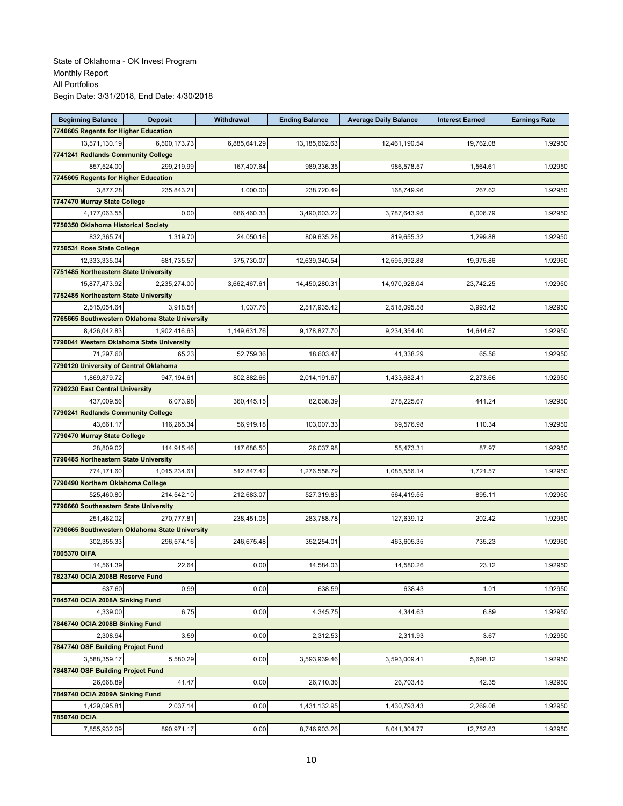| <b>Beginning Balance</b>                       | <b>Deposit</b>                                 | Withdrawal   | <b>Ending Balance</b> | <b>Average Daily Balance</b> | <b>Interest Earned</b> | <b>Earnings Rate</b> |
|------------------------------------------------|------------------------------------------------|--------------|-----------------------|------------------------------|------------------------|----------------------|
| 7740605 Regents for Higher Education           |                                                |              |                       |                              |                        |                      |
| 13,571,130.19                                  | 6,500,173.73                                   | 6,885,641.29 | 13,185,662.63         | 12,461,190.54                | 19,762.08              | 1.92950              |
| 7741241 Redlands Community College             |                                                |              |                       |                              |                        |                      |
| 857,524.00                                     | 299,219.99                                     | 167,407.64   | 989,336.35            | 986,578.57                   | 1,564.61               | 1.92950              |
| 7745605 Regents for Higher Education           |                                                |              |                       |                              |                        |                      |
| 3,877.28                                       | 235,843.21                                     | 1,000.00     | 238,720.49            | 168,749.96                   | 267.62                 | 1.92950              |
| 7747470 Murray State College                   |                                                |              |                       |                              |                        |                      |
| 4,177,063.55                                   | 0.00                                           | 686,460.33   | 3,490,603.22          | 3,787,643.95                 | 6,006.79               | 1.92950              |
| 7750350 Oklahoma Historical Society            |                                                |              |                       |                              |                        |                      |
| 832,365.74                                     | 1,319.70                                       | 24,050.16    | 809,635.28            | 819,655.32                   | 1,299.88               | 1.92950              |
| 7750531 Rose State College                     |                                                |              |                       |                              |                        |                      |
| 12,333,335.04                                  | 681,735.57                                     | 375,730.07   | 12,639,340.54         | 12,595,992.88                | 19,975.86              | 1.92950              |
| 7751485 Northeastern State University          |                                                |              |                       |                              |                        |                      |
| 15,877,473.92                                  | 2,235,274.00                                   | 3,662,467.61 | 14,450,280.31         | 14,970,928.04                | 23,742.25              | 1.92950              |
| 7752485 Northeastern State University          |                                                |              |                       |                              |                        |                      |
| 2,515,054.64                                   | 3,918.54                                       | 1,037.76     | 2,517,935.42          | 2,518,095.58                 | 3,993.42               | 1.92950              |
|                                                | 7765665 Southwestern Oklahoma State University |              |                       |                              |                        |                      |
| 8,426,042.83                                   | 1,902,416.63                                   | 1,149,631.76 | 9,178,827.70          | 9,234,354.40                 | 14,644.67              | 1.92950              |
| 7790041 Western Oklahoma State University      |                                                |              |                       |                              |                        |                      |
| 71,297.60                                      | 65.23                                          | 52,759.36    | 18,603.47             | 41,338.29                    | 65.56                  | 1.92950              |
| 7790120 University of Central Oklahoma         |                                                |              |                       |                              |                        |                      |
| 1,869,879.72                                   | 947,194.61                                     | 802,882.66   | 2,014,191.67          | 1,433,682.41                 | 2,273.66               | 1.92950              |
| 7790230 East Central University                |                                                |              |                       |                              |                        |                      |
| 437,009.56                                     | 6,073.98                                       | 360,445.15   | 82,638.39             | 278,225.67                   | 441.24                 | 1.92950              |
| 7790241 Redlands Community College             |                                                |              |                       |                              |                        |                      |
| 43,661.17                                      | 116,265.34                                     | 56,919.18    | 103,007.33            | 69,576.98                    | 110.34                 | 1.92950              |
| 7790470 Murray State College                   |                                                |              |                       |                              |                        |                      |
| 28,809.02                                      | 114,915.46                                     | 117,686.50   | 26,037.98             | 55,473.31                    | 87.97                  | 1.92950              |
| 7790485 Northeastern State University          |                                                |              |                       |                              |                        |                      |
| 774,171.60                                     | 1,015,234.61                                   | 512,847.42   | 1,276,558.79          | 1,085,556.14                 | 1,721.57               | 1.92950              |
| 7790490 Northern Oklahoma College              |                                                |              |                       |                              |                        |                      |
| 525,460.80                                     | 214,542.10                                     | 212,683.07   | 527,319.83            | 564,419.55                   | 895.11                 | 1.92950              |
| 7790660 Southeastern State University          |                                                |              |                       |                              |                        |                      |
| 251,462.02                                     | 270,777.81                                     | 238,451.05   | 283,788.78            | 127,639.12                   | 202.42                 | 1.92950              |
| 7790665 Southwestern Oklahoma State University |                                                |              |                       |                              |                        |                      |
| 302,355.33                                     | 296,574.16                                     | 246,675.48   | 352,254.01            | 463,605.35                   | 735.23                 | 1.92950              |
| 7805370 OIFA                                   |                                                |              |                       |                              |                        |                      |
| 14,561.39                                      | 22.64                                          | 0.00         | 14,584.03             | 14,580.26                    | 23.12                  | 1.92950              |
| 7823740 OCIA 2008B Reserve Fund                |                                                |              |                       |                              |                        |                      |
| 637.60                                         | 0.99                                           | 0.00         | 638.59                | 638.43                       | 1.01                   | 1.92950              |
| 7845740 OCIA 2008A Sinking Fund                |                                                |              |                       |                              |                        |                      |
| 4,339.00                                       | 6.75                                           | 0.00         | 4,345.75              | 4,344.63                     | 6.89                   | 1.92950              |
| 7846740 OCIA 2008B Sinking Fund                |                                                |              |                       |                              |                        |                      |
| 2.308.94                                       | 3.59                                           | 0.00         | 2,312.53              | 2,311.93                     | 3.67                   | 1.92950              |
| 7847740 OSF Building Project Fund              |                                                |              |                       |                              |                        |                      |
| 3,588,359.17                                   | 5,580.29                                       | 0.00         | 3,593,939.46          | 3,593,009.41                 | 5,698.12               | 1.92950              |
| 7848740 OSF Building Project Fund              |                                                |              |                       |                              |                        |                      |
| 26,668.89                                      | 41.47                                          | 0.00         | 26,710.36             | 26,703.45                    | 42.35                  | 1.92950              |
| 7849740 OCIA 2009A Sinking Fund                |                                                |              |                       |                              |                        |                      |
| 1,429,095.81                                   | 2,037.14                                       | 0.00         | 1,431,132.95          | 1,430,793.43                 | 2,269.08               | 1.92950              |
| 7850740 OCIA                                   |                                                |              |                       |                              |                        |                      |
| 7,855,932.09                                   | 890,971.17                                     | 0.00         | 8,746,903.26          | 8,041,304.77                 | 12,752.63              | 1.92950              |